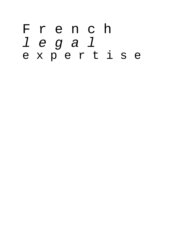# F r e n c h l e g a l e x p e r t i s e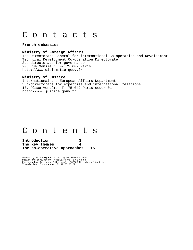# C o n t a c t s

#### **French embassies**

### **Ministry of Foreign Affairs**

The Directorate General for international Co-operation and Development Technical Development Co-operation Directorate Sub-directorate for governance 20, Rue Monsieur F- 75 007 Paris http://www.diplomatie.gouv.fr

### **Ministry of Justice**

International and European Affairs Department Sub-directorate for expertise and international relations 13, Place Vendôme F- 75 042 Paris cedex 01 http://www.justice.gouv.fr

# C o n t e n t s

| Introduction                |    |
|-----------------------------|----|
| The key themes              |    |
| The co-operative approaches | 15 |

©Ministry of Foreign Affairs, DgCiD, October 2004 Design and development: mediatys: 01 42 61 68 93 Photographs: C. Lacène-C.Montagné - SCICOM-Ministry of Justice Translation: Inter-Arabe: 01 42 68 03 27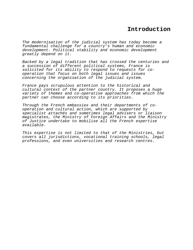# **Introduction**

The modernisation of the judicial system has today become a fundamental challenge for a country's human and economic development. Political stability and economic development greatly depend on it.

Backed by a legal tradition that has crossed the centuries and a succession of different political systems, France is solicited for its ability to respond to requests for cooperation that focus on both legal issues and issues concerning the organisation of the judicial system.

France pays scrupulous attention to the historical and cultural context of the partner country. It proposes a huge variety of themes and co-operative approaches from which the partner can choose according to its priorities.

Through the French embassies and their departments of cooperation and cultural action, which are supported by specialist attachés and sometimes legal advisers or liaison magistrates, the Ministry of Foreign Affairs and the Ministry of Justice undertake to mobilise all the French expertise available.

This expertise is not limited to that of the Ministries, but covers all jurisdictions, vocational training schools, legal professions, and even universities and research centres.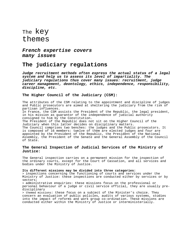# The key themes

**French expertise covers many issues** 

# **The judiciary regulations**

**Judge recruitment methods often express the actual status of a legal system and help us to assess its level of impartiality. The judiciary regulations thus cover many issues: recruitment, judge career management, deontology, ethics, independence, responsibility, discipline, etc.** 

### **The Higher Council of the Judiciary (CSM):**

The attributes of the CSM relating to the appointment and discipline of judges and Public prosecutors are aimed at sheltering the judiciary from the risk of partisan influences.

In France, the CSM assists the President of the Republic, the legal president, in his mission as guarantor of the independence of judicial authority consigned to him by the Constitution.

The President of the Republic does not sit on the Higher Council of the Judiciary when this latter decides on disciplinary matters.

The Council comprises two benches: the judges and the Public prosecutors. It is composed of 16 members: twelve of them are elected judges and four are appointed by the President of the Republic, the President of the National Assembly, the President of the Senate and the General Assembly of the Council of State.

### **The General Inspection of Judicial Services of the Ministry of Justice:**

The General inspection carries on a permanent mission for the inspection of the ordinary courts, except for the Court of Cassation, and all services and bodies under the Ministry of Justice.

#### **Its different missions may be divided into three categories:**

> inspections concerning the functioning of courts and services under the Ministry of Justice: these inspections are conducted either by services or by sectors;

> administrative enquiries: these missions focus on the professional or personal behaviour of a judge or civil service official, they are usually predisciplinary

> themed missions: these focus on a subject of the Minister's choice. They concern an evaluation of public policies, audits of various systems, studies into the impact of reforms and work group co-ordination. These missions are conducted either within the Ministry of Justice or interministerially.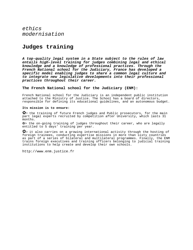# **Judges training**

**A top-quality legal system in a State subject to the rules of law entails high-level training for judges combining legal and ethical knowledge and a knowledge of professional practices. Through the French National school for the Judiciary, France has developed a specific model enabling judges to share a common legal culture and to integrate new legislative developments into their professional practices throughout their career.** 

### **The French National school for the Judiciary (ENM):**

French National school for the Judiciary is an independent public institution attached to the Ministry of Justice. The School has a board of directors, responsible for defining its educational guidelines, and an autonomous budget.

### **Its mission is to ensure:**

✿> the training of future French judges and Public prosecutors, for the main part legal experts recruited by competition after University, which lasts 31 months.

✿> the on-going training of judges throughout their career, who are legally entitled to 5 days' training per year.

✿> it also carries on a growing international activity through the hosting of foreign trainees, conducting expertise missions in more than sixty countries as part of a series of bilateral and multilateral programmes. Finally, the ENM trains foreign executives and training officers belonging to judicial training institutions to help create and develop their own schools.

http://www.enm.justice.fr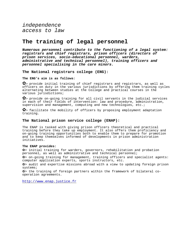# **The training of legal personnel**

**Numerous personnel contribute to the functioning of a legal system: registrars and chief registrars, prison officers (directors of prison services, socio-educational personnel, warders, administrative and technical personnel), training officers and personnel specialising in the care minors.** 

**The National registrars college (ENG):** 

#### **The ENG's aim is as follows:**

✿> provide initial training of chief registrars and registrars, as well as officers on duty in the various jurisdictions by offering them training cycles alternating between studies at the College and practical courses in the various jurisdictions;

✿> provide on-going training for all civil servants in the judicial services in each of their fields of intervention: law and procedure, administration, supervision and management, computing and new technologies, etc.;

✿> facilitate the mobility of officers by proposing employment adaptation training.

#### **The National prison service college (ENAP):**

The ENAP is tasked with giving prison officers theoretical and practical training before they take up employment. It also offers them proficiency and on-going training opportunities both to enable them to prepare for promotion and to keep themselves informed of developments in prison administration initiatives.

#### **The ENAP provides:**

✿> initial training for warders, governors, rehabilitation and probation personnel, as well as administrative and technical personnel;

✿> on-going training for management, training officers and specialist agents: computer application experts, sports instructors, etc.

✿> audit and expertise missions abroad with a view to updating foreign prison systems;

✿> the training of foreign partners within the framework of bilateral cooperation agreements.

[http://www.enap.justice.fr](http://www.enap.justice.fr/)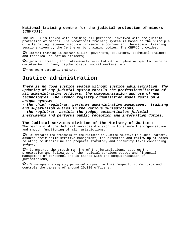### **National training centre for the judicial protection of minors (CNFPJJ):**

The CNFPJJ is tasked with training all personnel involved with the judicial protection of minors. The vocational training system is based on the principle of alternating between practical in-service courses and theoretical training sessions given by the Centre or by training bodies. The CNFPJJ provides:

✿> initial training in certain skills: governors, educators, technical trainers and technical education officers;

✿> judicial training for professionals recruited with a diploma or specific technical competencies: nurses, psychologists, social workers, etc.

✿> on-going personnel training.

# **Justice administration**

**There is no good justice system without justice administration. The updating of any judicial system entails the professionalisation of all administrative officers, the computerisation and use of new technologies. The French registry organisation model rests on a unique system:** 

**- the chief registrar: performs administrative management, training and supervision duties in the various jurisdictions, - the registrar: assists the judge, authenticates judicial** 

**instruments and performs public reception and information duties.**

**The Judicial services division of the Ministry of Justice:**  The main aim of the Judicial services division is to ensure the organisation and smooth functioning of all jurisdictions.

✿> It prepares the proposals of the Minister of Justice relative to judges' careers, assures their administrative management, the direction and follow-up of cases relating to discipline and prepares statutory and indemnity texts concerning judges;

✿> It ensures the smooth running of the jurisdictions, assures the preparation and follow-up of the judicial services budget and financial management of personnel and is tasked with the computerisation of jurisdictions;

✿> It manages the registry personnel corpus: in this respect, it recruits and controls the careers of around 20,000 officers.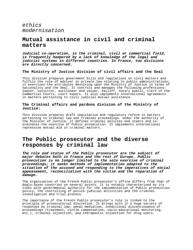# **Mutual assistance in civil and criminal matters**

**Judicial co-operation, in the criminal, civil or commercial field, is frequently hampered by a lack of knowledge of the legal and judicial systems in different countries. In France, two divisions are directly concerned.** 

### **The Ministry of Justice division of civil affairs and the Seal**

This division prepares government bills and regulations on civil matters and fulfils the role of adviser in private law relating to public administrations; it exercises the attributes devolving upon the Ministry of Justice in terms of nationality and the Seal. It controls and manages the following professions: lawyer, solicitor, auctioneer and valuer, bailiff, notary public, clerk of the Commercial Courts, court expert. It also implements international agreements in matters pertaining to civil judicial mutual assistance.

### **The Criminal affairs and pardons division of the Ministry of Justice:**

This division prepares draft legislative and regulatory reform in matters pertaining to criminal law and criminal proceedings. Under the authority of the Minister of Justice, it defines criminal policies and steers and coordinates the exercise of Public prosecution. It implements international repressive mutual aid in criminal matters.

# **The Public prosecutor and the diverse responses by criminal law**

**The role and status of the Public prosecutor are the subject of major debates both in France and the rest of Europe. Public prosecution is no longer limited to the sole exercise of criminal proceedings; it seeks methods of implementation adapted to the situation of the accused and responding to the imperatives of social appeasement, reconciliation with the victim and the reparation of damage.** 

The organisation of the French Public prosecutor's office differs from that of Anglo-Saxon countries on several points. It is notably characterised by its links with governmental authority for the implementation of Public prosecution policy, the controlling of police judicial activities and the criminal investigation and trial process.

The importance of the French Public prosecutor's role is linked to the principle of prosecutorial discretion. It brings with it a huge variety of responses by criminal law: penal mediation, conditional discontinuance of proceedings (treatment, victim compensation, socio-educational monitoring, etc.), criminal injunction, and therapeutic injunction for drug users.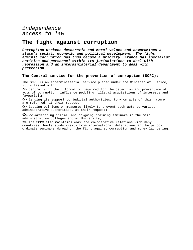# **The fight against corruption**

**Corruption weakens democratic and moral values and compromises a state's social, economic and political development. The fight against corruption has thus become a priority. France has specialist entities and personnel within its jurisdictions to deal with repression and an interministerial department to deal with prevention.** 

### **The Central service for the prevention of corruption (SCPC):**

The SCPC is an interministerial service placed under the Minister of Justice, it is tasked with:

✿> centralising the information required for the detection and prevention of acts of corruption, influence peddling, illegal acquisitions of interests and favouritism;

✿> lending its support to judicial authorities, to whom acts of this nature are referred, at their request;

✿> issuing opinions on measures likely to prevent such acts to various administrative authorities, at their request;

✿> co-ordinating initial and on-going training seminars in the main administrative colleges and at University;

✿> The SCPC also maintains work and co-operative relations with many countries, hosts study visits from international delegations and helps coordinate seminars abroad on the fight against corruption and money laundering.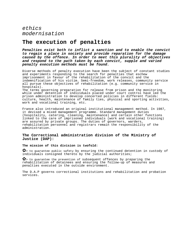# **The execution of penalties**

**Penalties exist both to inflict a sanction and to enable the convict to regain a place in society and provide reparation for the damage caused by the offence. In order to meet this plurality of objectives and respond to the path taken by each convict, supple and varied penalty execution methods must be found.** 

Diverse methods of penalty execution have been the subject of constant studies and experiments responding to the search for penalties that eschew imprisonment in favour of the rehabilitation of the convict and the indemnification of his victim. Semi-freedom, work releases, community service all pursue these objectives of rehabilitation (e.g. community service in hospitals). The terms governing preparation for release from prison and the monitoring while under detention of individuals placed under court control have led the

prison administration to develop concerted policies in different fields: culture, health, maintenance of family ties, physical and sporting activities, work and vocational training, etc.

France also introduced an original institutional management method. In 1987, it devised a mixed management programme. Standard management duties (hospitality, catering, cleaning, maintenance) and certain other functions linked to the care of imprisoned individuals (work and vocational training) are assured by private groups. The duties of governors, warders, rehabilitation personnel and registrars remain the responsibility of the administration.

### **The Correctional administration division of the Ministry of Justice (DAP):**

### **The mission of this division is twofold:**

✿> to guarantee public safety by ensuring the continued detention in custody of individuals consigned thereto by the judicial authorities;

✿> to guarantee the prevention of subsequent offences by preparing the rehabilitation of detainees and ensuring the follow-up of measures and penalties executed in the outside environment.

The D.A.P governs correctional institutions and rehabilitation and probation services.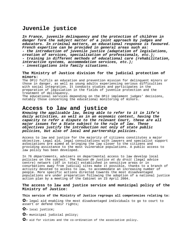# **Juvenile justice**

**In France, juvenile delinquency and the protection of children in danger form the subject matter of a joint approach by judges and educators. In criminal matters, an educational response is favoured. French expertise can be provided in general areas such as: - the introduction of juvenile justice (adaptation of legislations, creation of services, specialisation of professionals, etc.); - training in different methods of educational care (rehabilitation, interactive systems, accommodation services, etc.); - investigations into family situations.** 

### **The Ministry of Justice division for the judicial protection of minors:**

The DPJJ fulfils an education and prevention mission for delinquent minors or those in danger, as well as young adults experiencing serious difficulties with social integration. It conducts studies and participates in the preparation of legislation in the fields of juvenile protection and the treatment of delinquency.

The educational services depending on the DPJJ implement judges' decisions, notably those concerning the educational monitoring of minors.

# **Access to law and justice**

**Knowing the applicable law, being able to refer to it in life's daily activities, as well as in an economic context, having the capacity to refer a dispute to the relevant Court, these are all major issues for a State subject to the rule of law. These objectives justify the introduction not only of state public policies, but also of local and partnership policies.** 

Access to law and justice for the majority of citizens constitutes a major objective. Legal aid, legal consultations with lawyers and specialist support associations are aimed at bringing the law closer to the citizens and providing assistance to the most vulnerable populations. A public access to law policy has been developed.

In 76 départements, advisers on departmental access to law develop local policies on the subject. The Maison de justice et du droit (legal advice centre) network (107 in total) established in sensitive areas or in conurbations away from judicial sites make it possible, thanks to a branch of activity devoted to access to law, to accommodate an increasing number of people. More specific actions directed towards the most disadvantaged populations are under preparation following the adoption of a national justice action plan by a meeting of the Cabinet on 23 April 2004.

### **The access to law and justice service and municipal policy of the Ministry of Justice:**

### **This service of the Ministry of Justice regroups all competencies relating to:**

✿> legal aid enabling the most disadvantaged individuals to go to court to assert or defend their rights;

- ✿> local justice;
- ✿> municipal judicial policy;
- ✿> aid for victims and the co-ordination of the associative policy.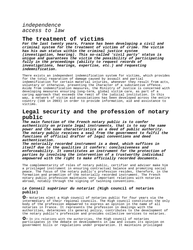# **The treatment of victims**

**For the last twenty years, France has been developing a civil and criminal system for the treatment of victims of crime. The victim has his own status within the criminal justice system (investigation, hearing). This so-called 'civil party' status is unique and guarantees the victim the possibility of participating fully in the proceedings (ability to request records of investigations, hearings, expertise, etc.) and requesting indemnification.** 

There exists an independent indemnification system for victims, which provides for the total reparation of damage caused by assault and partial indemnification for certain material injuries, whenever they result from acts, voluntary or otherwise, presenting the character of a substantive offence. Aside from indemnification measures, the Ministry of Justice is concerned with developing measures ensuring long-term, global victim care, as part of a caring approach that exceeds the remit of the judicial institution. In this way, a network of victim aid associations has been developed across the entire country (168 in 2003) in order to provide information, aid and assistance to victims.

# **Legal security and the profession of notary public**

**The main function of the French notary public is to confer authenticity on private legal instruments, that is to say the same power and the same characteristics as a deed of public authority. The notary public receives a seal from the government to fulfil the functions of official drafter of legal conventions and deed authentication.** 

**The notorially recorded instrument is a deed, which suffices in itself due to the qualities it confers: conclusiveness and enforceability. It constitutes an instrument for the protection of parties by involving the intervention of a trustworthy individual empowered with the right to make officially recorded documents.** 

The complementarity of roles of notary public, certifier and adviser make him a privileged instrument in ensuring contractual balance and promoting social peace. The focus of the notary public's profession resides, therefore, in the formation and promotion of the notorially recorded instrument. The French notary public profession maintains very important relations with notaries abroad, notably through the signing of twinning conventions.

### **Le Conseil supérieur du notariat (High council of notaries public)**

✿> Notaries elect a High council of notaries public for four years via the intermediary of their regional councils. The High council constitutes the only body of the profession empowered to express an opinion in the name of all notaries in France. It represents the profession in dealings with the authorities, determines its general policy, contributes to the development of the notary public's profession and provides collective services to notaries.

✿> In its relations with the authorities, the High council of notaries participates in the debate on developments in law and issues its opinion on government bills or regulations under preparation. It maintains privileged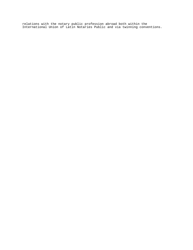relations with the notary public profession abroad both within the International Union of Latin Notaries Public and via twinning conventions.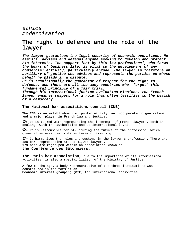# **The right to defence and the role of the lawyer**

**The lawyer guarantees the legal security of economic operations. He assists, advises and defends anyone seeking to develop and protect his interests. The support lent by this law professional, who forms the heart of business life, is vital to the development of any commercial activity, particularly abroad. The lawyer is therefore an auxiliary of justice who advises and represents the parties on whose behalf he pleads in a dispute.** 

**He is traditionally the guarantor of respect for the right to defence, and there are all too many countries who "forget" this fundamental principle of a fair trial.** 

**Through his international justice evaluation missions, the French lawyer ensures respect for a rule that often testifies to the health of a democracy.** 

**The National bar associations council (CNB):** 

**The CNB is an establishment of public utility, an incorporated organisation and a major player in French law and justice:** 

✿> It is tasked with representing the interests of French lawyers, both in dealings with the authorities and at international level.

✿> It is responsible for structuring the future of the profession, which gives it an essential role in terms of training.

✿> It harmonises the rules and customs in the lawyer's profession. There are 180 bars representing around 41,000 lawyers. 179 bars are regrouped within an association known as **the Conférence des Bâtonniers**.

**The Paris bar association,** due to the importance of its international activities, is also a special liaison of the Ministry of Justice.

A few months ago, a body representative of the three institutions was constituted in the form of an **Economic interest grouping (GIE)** for international activities.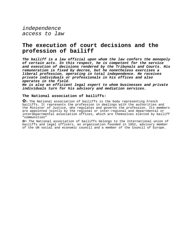# **The execution of court decisions and the profession of bailiff**

**The bailiff is a law official upon whom the law confers the monopoly of certain acts. In this respect, he is competent for the service and execution of decisions rendered by the Tribunals and Courts. His remuneration is fixed by decree, but he nonetheless exercises a liberal profession, operating in total independence. He receives private individuals or professionals in his offices and also operates in the field.** 

**He is also an efficient legal expert to whom businesses and private individuals turn for his advisory and mediation services.** 

### **The National association of bailiffs:**

✿> The National association of bailiffs is the body representing French bailiffs. It represents the profession in dealings with the authorities and the Minister of Justice, who regulates and governs the profession. Its members are appointed jointly by the regional or inter-regional and departmental or interdepartmental association offices, which are themselves elected by bailiff "communities"

✿> The National association of bailiffs belongs to the International union of bailiffs and legal officers, an organisation founded in 1952, advisory member of the UN social and economic council and a member of the Council of Europe.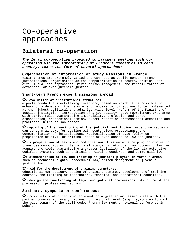# Co-operative approaches

# **Bilateral co-operation**

### **The legal co-operation provided to partners seeking such cooperation via the intermediary of France's embassies in each country, takes the form of several approaches:**

## **Organisation of information or study missions in France.**

Visit themes are extremely varied and can just as easily concern French jurisdictional organisation as the computerisation of courts, criminal and civil mutual aid approaches, mixed prison management, the rehabilitation of detainees, or even juvenile justice.

### **Short-term French expert missions abroad:**

### ✿> **evaluation of institutional structures:**

experts conduct a stock-taking inventory, based on which it is possible to embark on a debate of the reforms and fundamental directions to be implemented at the highest political and administrative level: reform of the Ministry of Justice institution, introduction of a top-quality judge recruitment programme with strict rules guaranteeing impartiality, profession and career organisation, professional ethics, expert report on professional amenities and practices in the prison sector.

✿> **updating of the functioning of the judicial institution:** expertise requests can concern windows for dealing with contentious proceedings, the computerisation of jurisdictions, rationalisation of case follow-up, preparation of civil or criminal cases or even access to law and justice.

✿> **- preparation of texts and codification:** this entails helping countries to transpose community or international standards into their own domestic law, or acquire the tools guaranteeing a greater legibility of the law via extensive codified systems, such as criminal or civil procedures, and commercial law.

✿> **dissemination of law and training of judicial players in various areas**  such as technical rights, procedural law, prison management or juvenile justice law.

### ✿> **aid for the development of training structures:**

educational methodology, design of training centres, development of training courses, the training of instructors, technical and operational education.

✿> **design and functioning of legal and judicial professions:** structure of the profession, professional ethics.

### **Seminars, symposia or conferences:**

✿> possibility of organising an event on a greater or lesser scale with the partner country at local, national or regional level (e.g.: symposium to mark the bicentenary of the civil code, French law month, regional conference in Doha).